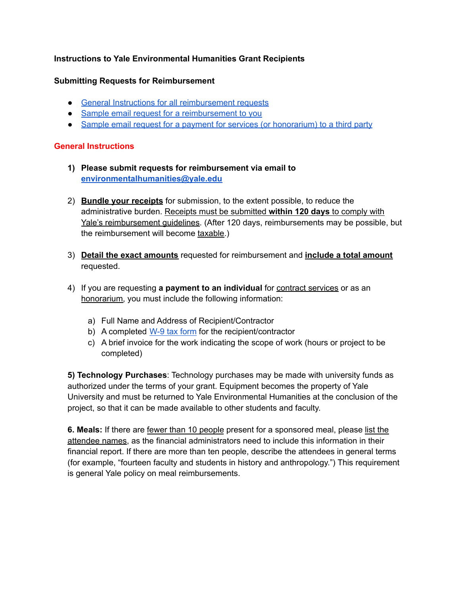# **Instructions to Yale Environmental Humanities Grant Recipients**

### **Submitting Requests for Reimbursement**

- General Instructions for all [reimbursement](#page-0-0) requests
- Sample email request for a [reimbursement](#page-1-0) to you
- Sample email request for a payment for services (or [honorarium\)](#page-1-1) to a third party

#### <span id="page-0-0"></span>**General Instructions**

- **1) Please submit requests for reimbursement via email to [environmentalhumanities@yale.edu](mailto:environmentalhumanities@yale.edu)**
- 2) **Bundle your receipts** for submission, to the extent possible, to reduce the administrative burden. Receipts must be submitted **within 120 days** to comply with Yale's reimbursement guidelines. (After 120 days, reimbursements may be possible, but the reimbursement will become taxable.)
- 3) **Detail the exact amounts** requested for reimbursement and **include a total amount** requested.
- 4) If you are requesting **a payment to an individual** for contract services or as an honorarium, you must include the following information:
	- a) Full Name and Address of Recipient/Contractor
	- b) A completed W-9 tax [form](https://www.irs.gov/pub/irs-pdf/fw9.pdf) for the recipient/contractor
	- c) A brief invoice for the work indicating the scope of work (hours or project to be completed)

**5) Technology Purchases**: Technology purchases may be made with university funds as authorized under the terms of your grant. Equipment becomes the property of Yale University and must be returned to Yale Environmental Humanities at the conclusion of the project, so that it can be made available to other students and faculty.

**6. Meals:** If there are fewer than 10 people present for a sponsored meal, please list the attendee names, as the financial administrators need to include this information in their financial report. If there are more than ten people, describe the attendees in general terms (for example, "fourteen faculty and students in history and anthropology.") This requirement is general Yale policy on meal reimbursements.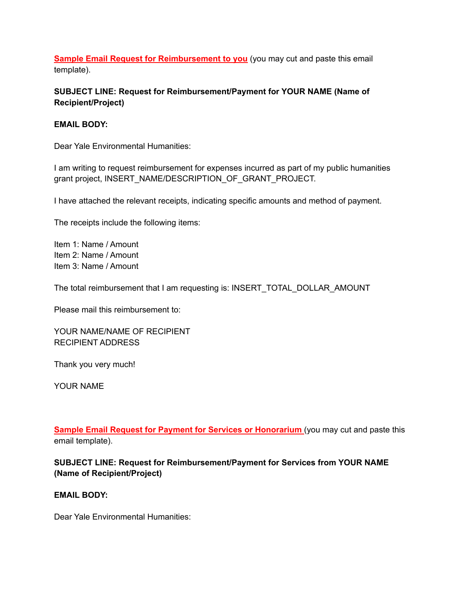<span id="page-1-0"></span>**Sample Email Request for Reimbursement to you** (you may cut and paste this email template).

# **SUBJECT LINE: Request for Reimbursement/Payment for YOUR NAME (Name of Recipient/Project)**

### **EMAIL BODY:**

Dear Yale Environmental Humanities:

I am writing to request reimbursement for expenses incurred as part of my public humanities grant project, INSERT\_NAME/DESCRIPTION\_OF\_GRANT\_PROJECT.

I have attached the relevant receipts, indicating specific amounts and method of payment.

The receipts include the following items:

Item 1: Name / Amount Item 2: Name / Amount Item 3: Name / Amount

The total reimbursement that I am requesting is: INSERT\_TOTAL\_DOLLAR\_AMOUNT

Please mail this reimbursement to:

YOUR NAME/NAME OF RECIPIENT RECIPIENT ADDRESS

Thank you very much!

YOUR NAME

<span id="page-1-1"></span>**Sample Email Request for Payment for Services or Honorarium** (you may cut and paste this email template).

**SUBJECT LINE: Request for Reimbursement/Payment for Services from YOUR NAME (Name of Recipient/Project)**

**EMAIL BODY:**

Dear Yale Environmental Humanities: